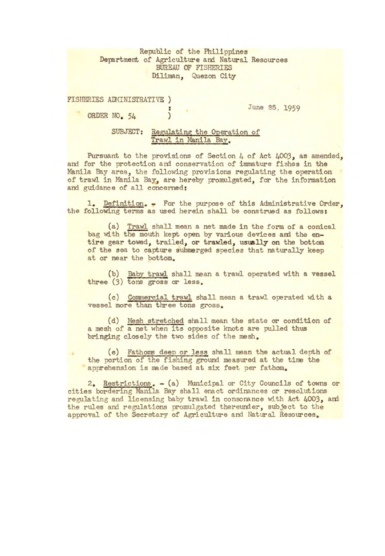Republic of the Philippines Department of Agriculture and Natural Resources BUREAU OF FISHERIES Diliman, Quezon City

| FISHERIES ADMINISTRATIVE ) |  |
|----------------------------|--|
| ORDER NO. 54               |  |
|                            |  |

June 25, 1959

SUBJECT: Regulating the Operation of Trawl in Manila Bay,

Pursuant to the provisions of Section *4* of Act *4003,* as amended, and for the protection and conservation of immature fishes in the Manila Bay area, the following provisions regulating the operation of trawl in Manila Bay, are hereby promulgated, for the information and guidance of all concerned:

1. Definition. - For the purpose of this Administrative Order, the following terms as used herein shall be construed as follows:

(a) Trawl shall mean a net made in the form of a conical bag with the mouth kept open by various devices and the entire gear towed, trailed, or trawled, usually **on** the bottom of the sea to capture submerged species that naturally keep at or near the bottom,

(b) Baby trawl shall mean a trawl operated with a vessel three *(3)* tons gross or less,

(c) Commercial trawl shall mean a trawl orated with a vessel more than three tons gross.

(d) Mesh stretched shall mean the state or condition of a mesh of a net when its opposite knots are pulled thus bringing closely the two sides of the mesh.

(e) Fathoms deep or less shall mean the actual depth of the portion of the fishing ground measured at the time the apprehension is made based at six feet per fathom.

2, Restrictions, - (a) Municipal or City Councils of towns or cities bordering Manila Bay shall enact ordinances or resolutions regulating and licensing baby trawl in consonance with Act *4003,* and the rules and regulations promulgated thereunder, subject to the approval of the Secretary of Agriculture and Natural Resources.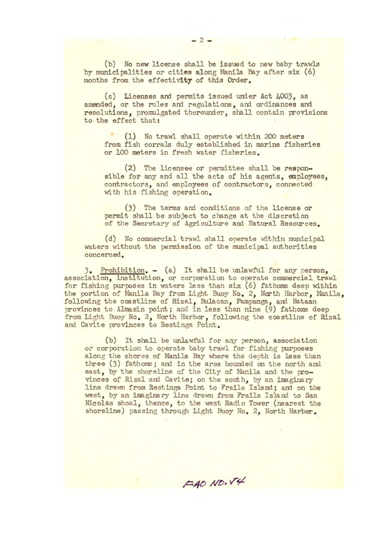(b) No new license shall be issued to new baby trawls by municipalities or cities along Manila Bay after six *(6)*  months from the effectivity of this Order.

(c) Licenses and permits issued under Act 4003, as amended, or the rules and regulations, and ordinances and resolutions, promulgated thereunder, shall contain provisions to the effect that:

(1) No trawl shall operate within 200 meters from fish corrals duly established in marine fisheries or 100 meters in fresh water fisheries.

(2) The licensee or permittee shall be responsible for any and all the acts of his agents, employees, contractors, and employees of contractors, connected with his fishing operation.

(3) The terms and conditions of the license or permit shall be subject to change at the discretion of the Secretary of Agriculture and Natural Resources.

(d) No commercial trawl shall operate within municipal waters without the permission of the municipal authorities concerned.

*3.* Prohibition. - (a) It shall be unlawful for any person., association, institution, or corporation to operate commercial trawl for fishing purposes in waters less *than* six (6) fathoms deep within the portion of Manila Bay from Light Buoy No, 2, North Harbor, Manila, following the coastline of Rizal, Bulacan, Pampanga, and Bataan provinces to Almasin point; and in less than nine *(9)* fathoms deep from Light Buoy No, 2, North Harbor, following the coastline of Rizal and Cavite provinces to Restinga Point.

(b) It shall be unlawful for any person, association or corporation to operate baby trawl for fishing purposes along the shores of Manila Bay where the depth is less than three *(3)* fathoms; and in the area bounded on the north and east, by the shoreline of the City of Manila and the provinces of Rizal and Cavite; on the south, by an imaginary line drawn from Rest inga Point to Fraile Island; and on the west, by an imaginary line drawn from Praile Island to San Nicolas shoal, thence, to the west Radio Tower (nearest the shoreline) passing through Light Buoy No. 2, North Harbor.

FAO NO.V4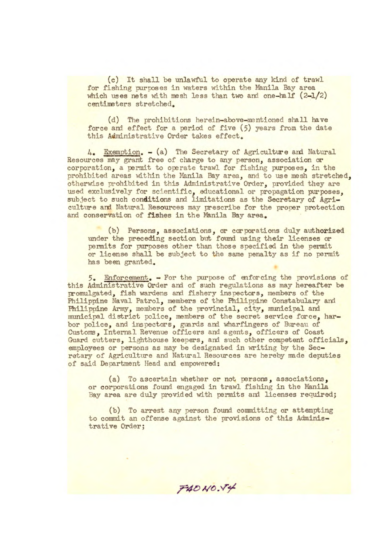(c) It shall be unlawful to operate any kind of trawl for fishing purposes in waters within the Manila Bay area which uses nets with mesh less than two and one-half  $(2-1/2)$ centimeters stretched.

(d) The prohibitions herein-above-mentioned shall have force and effect for a period of five *(5)* years from the date this Administrative Order takes effect.

4. Exemption. - (a) The Secretary of Agriculture and Natural Resources may grant free of charge to any person, association or corporation, a permit to operate trawl for fishing purposes, in the prohibited areas within the Manila Bay area, and to use mesh stretched, otherwise prohibited in this Administrative Order, provided they are used exclusively for scientific, educational or propagation purposes, subject to such conditions and limitations as the Secretary of Agriculture and Natural Resources may prescribe for the proper protection and conservation of fishes in the Manila Bay area.

(b) Persons, associations, or corporations duly authorized under the preceding section but found using their licenses or permits for purposes other than those specified in the permit or license shall be subject to the same penalty as if no permit has been granted.

5. Enforcement. - For the purpose of enforcing the provisions of this Administrative Order and of such regulations as may hereafter be promulgated, fish wardens and fishery inspectors, members of the Philippine Naval Patrol, members of the Philippine Constabulary and Philippine Army, members of the provincial, city, municipal and municipal district police, members of the secret service force, harbor police, and inspectors, guards and wharfingers of Bureau of Customs, Internal Revenue officers and agents, officers of Coast Guard cutters, lighthouse keepers, and such other competent officials, employees or persons as may be designated in writing by the Secretary of Agriculture and Natural Resources are hereby made deputies of said Department Head and empowered:

(a) To ascertain whether or not persons, associations, or corporations found engaged in trawl fishing in the Manila Bay area are duly provided with permits and licenses required;

(b) To arrest any person found connitting or attempting to commit an offense against the provisions of this Administrative Order;

 $F40N0.74$